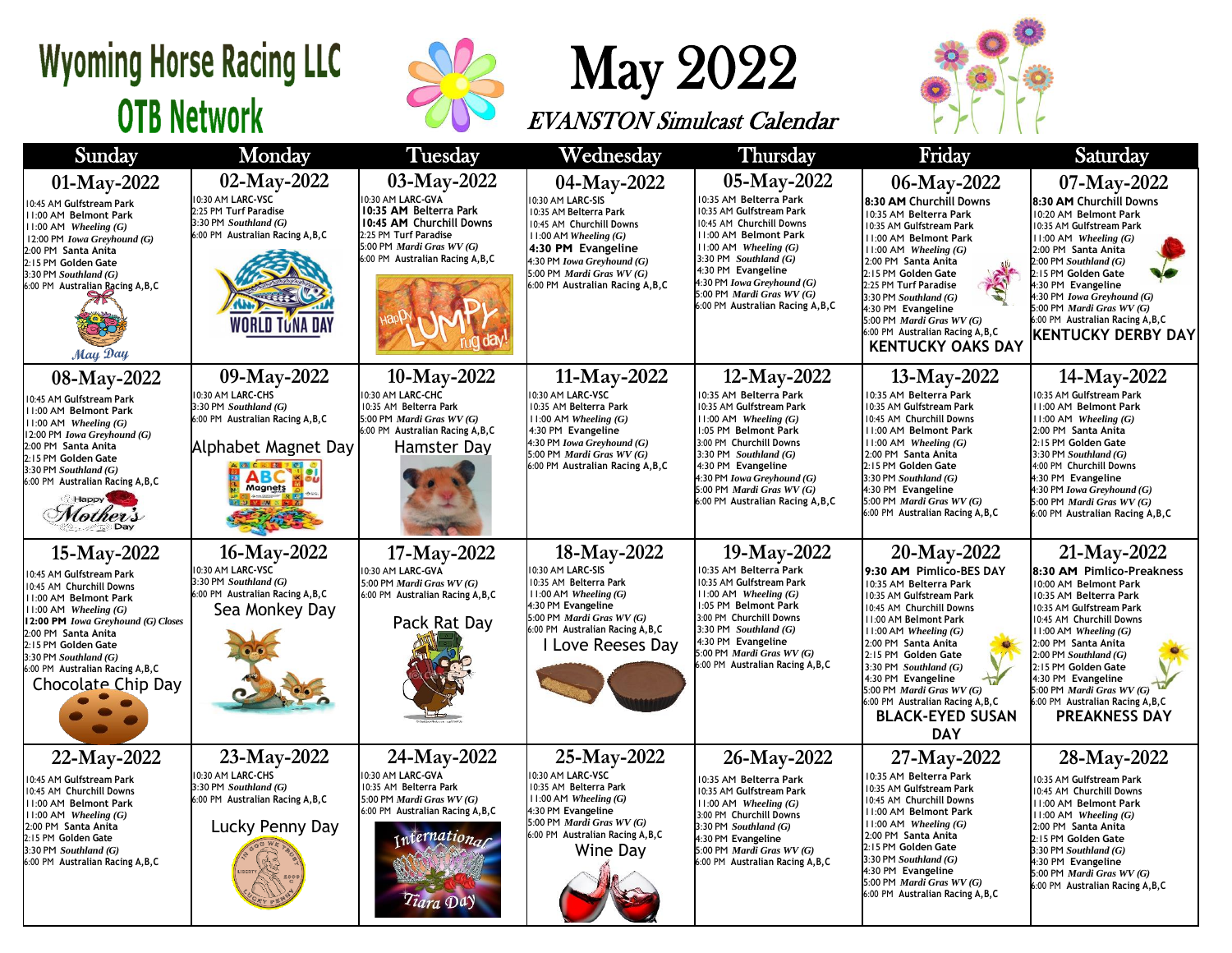## **Wyoming Horse Racing LLC OTB Network**



May 2022

EVANSTON Simulcast Calendar



| Sunday                                                                                                                                                                                                                                                                                                | Monday                                                                                                                                                          | <b>Tuesday</b>                                                                                                                                                                    | Wednesday                                                                                                                                                                                                                                | <b>Thursday</b>                                                                                                                                                                                                                                                                                    | Friday                                                                                                                                                                                                                                                                                                                                                                                  | Saturday                                                                                                                                                                                                                                                                                                                                                                |  |
|-------------------------------------------------------------------------------------------------------------------------------------------------------------------------------------------------------------------------------------------------------------------------------------------------------|-----------------------------------------------------------------------------------------------------------------------------------------------------------------|-----------------------------------------------------------------------------------------------------------------------------------------------------------------------------------|------------------------------------------------------------------------------------------------------------------------------------------------------------------------------------------------------------------------------------------|----------------------------------------------------------------------------------------------------------------------------------------------------------------------------------------------------------------------------------------------------------------------------------------------------|-----------------------------------------------------------------------------------------------------------------------------------------------------------------------------------------------------------------------------------------------------------------------------------------------------------------------------------------------------------------------------------------|-------------------------------------------------------------------------------------------------------------------------------------------------------------------------------------------------------------------------------------------------------------------------------------------------------------------------------------------------------------------------|--|
| 01-May-2022<br>0:45 AM Gulfstream Park<br>11:00 AM Belmont Park<br>$11:00$ AM Wheeling $(G)$<br>12:00 PM Iowa Greyhound (G)<br>2:00 PM Santa Anita<br>2:15 PM Golden Gate<br>$3:30$ PM Southland $(G)$<br>6:00 PM Australian Racing A, B, C<br>May Day                                                | 02-May-2022<br>0:30 AM LARC-VSC<br>2:25 PM Turf Paradise<br>3:30 PM Southland (G)<br>6:00 PM Australian Racing A, B, C<br>WORLD TUNA DAY                        | 03-May-2022<br>10:30 AM LARC-GVA<br>10:35 AM Belterra Park<br>10:45 AM Churchill Downs<br>2:25 PM Turf Paradise<br>5:00 PM Mardi Gras WV (G)<br>6:00 PM Australian Racing A, B, C | 04-May-2022<br>0:30 AM LARC-SIS<br>10:35 AM Belterra Park<br>10:45 AM Churchill Downs<br>$11:00$ AM Wheeling $(G)$<br>4:30 PM Evangeline<br>4:30 PM Iowa Greyhound (G)<br>5:00 PM Mardi Gras WV (G)<br>6:00 PM Australian Racing A, B, C | 05-May-2022<br>10:35 AM Belterra Park<br>10:35 AM Gulfstream Park<br>10:45 AM Churchill Downs<br>11:00 AM Belmont Park<br>$11:00$ AM Wheeling $(G)$<br>3:30 PM Southland $(G)$<br>4:30 PM Evangeline<br>4:30 PM Iowa Greyhound (G)<br>5:00 PM Mardi Gras WV (G)<br>6:00 PM Australian Racing A,B,C | 06-May-2022<br>8:30 AM Churchill Downs<br>10:35 AM Belterra Park<br>10:35 AM Gulfstream Park<br>11:00 AM Belmont Park<br>$11:00$ AM Wheeling $(G)$<br>2:00 PM Santa Anita<br>2:15 PM Golden Gate<br>2:25 PM Turf Paradise<br>3:30 PM Southland $(G)$<br>4:30 PM Evangeline<br>5:00 PM Mardi Gras WV (G)<br>6:00 PM Australian Racing A, B, C<br><b>KENTUCKY OAKS DAY</b>                | 07-May-2022<br>8:30 AM Churchill Downs<br>10:20 AM Belmont Park<br>10:35 AM Gulfstream Park<br>$11:00$ AM Wheeling $(G)$<br>2:00 PM Santa Anita<br>$2:00$ PM Southland $(G)$<br>2:15 PM Golden Gate<br>4:30 PM Evangeline<br>4:30 PM Iowa Greyhound (G)<br>5:00 PM Mardi Gras WV (G)<br>6:00 PM Australian Racing A, B, C<br><b>KENTUCKY DERBY DAY</b>                  |  |
| 08-May-2022<br>10:45 AM Gulfstream Park<br>11:00 AM Belmont Park<br>$11:00$ AM Wheeling $(G)$<br>12:00 PM Iowa Greyhound (G)<br>2:00 PM Santa Anita<br>2:15 PM Golden Gate<br>$3:30$ PM Southland $(G)$<br>6:00 PM Australian Racing A, B, C<br>Happy<br>Mother's                                     | 09-May-2022<br>0:30 AM LARC-CHS<br>3:30 PM Southland (G)<br>6:00 PM Australian Racing A, B, C<br>Alphabet Magnet Day<br><b>NACARTE</b><br><b>ABC</b><br>Magnets | 10-May-2022<br>10:30 AM LARC-CHC<br>10:35 AM Belterra Park<br>5:00 PM Mardi Gras WV (G)<br>6:00 PM Australian Racing A, B, C<br>Hamster Day                                       | 11-May-2022<br>10:30 AM LARC-VSC<br>10:35 AM Belterra Park<br>$11:00$ AM Wheeling $(G)$<br>4:30 PM Evangeline<br>4:30 PM Iowa Greyhound (G)<br>5:00 PM Mardi Gras WV (G)<br>6:00 PM Australian Racing A, B, C                            | 12-May-2022<br>10:35 AM Belterra Park<br>10:35 AM Gulfstream Park<br>$11:00$ AM Wheeling $(G)$<br>1:05 PM Belmont Park<br>3:00 PM Churchill Downs<br>3:30 PM Southland $(G)$<br>4:30 PM Evangeline<br>4:30 PM Iowa Greyhound (G)<br>5:00 PM Mardi Gras WV (G)<br>6:00 PM Australian Racing A, B, C | 13-May-2022<br>10:35 AM Belterra Park<br>10:35 AM Gulfstream Park<br>10:45 AM Churchill Downs<br>11:00 AM Belmont Park<br>$11:00$ AM Wheeling $(G)$<br>2:00 PM Santa Anita<br>2:15 PM Golden Gate<br>$3:30$ PM Southland $(G)$<br>4:30 PM Evangeline<br>5:00 PM Mardi Gras WV (G)<br>6:00 PM Australian Racing A, B, C                                                                  | 14-May-2022<br>10:35 AM Gulfstream Park<br>11:00 AM Belmont Park<br>$11:00$ AM Wheeling $(G)$<br>2:00 PM Santa Anita<br>2:15 PM Golden Gate<br>3:30 PM Southland $(G)$<br>4:00 PM Churchill Downs<br>4:30 PM Evangeline<br>4:30 PM Iowa Greyhound (G)<br>5:00 PM Mardi Gras WV (G)<br>6:00 PM Australian Racing A, B, C                                                 |  |
| 15-May-2022<br>10:45 AM Gulfstream Park<br>10:45 AM Churchill Downs<br>11:00 AM Belmont Park<br>$11:00$ AM Wheeling $(G)$<br>12:00 PM Iowa Greyhound (G) Closes<br>2:00 PM Santa Anita<br>2:15 PM Golden Gate<br>$3:30$ PM Southland $(G)$<br>6:00 PM Australian Racing A, B, C<br>Chocolate Chip Day | 16-May-2022<br>0:30 AM LARC-VSC<br>3:30 PM Southland (G)<br>6:00 PM Australian Racing A, B, C<br>Sea Monkey Day                                                 | 17-May-2022<br>10:30 AM LARC-GVA<br>5:00 PM Mardi Gras WV (G)<br>6:00 PM Australian Racing A, B, C<br>Pack Rat Day                                                                | 18-May-2022<br>0:30 AM LARC-SIS<br>10:35 AM Belterra Park<br>$11:00$ AM Wheeling $(G)$<br>4:30 PM Evangeline<br>5:00 PM Mardi Gras WV (G)<br>6:00 PM Australian Racing A, B, C<br>I Love Reeses Day                                      | 19-May-2022<br>10:35 AM Belterra Park<br>10:35 AM Gulfstream Park<br>$11:00$ AM Wheeling $(G)$<br>1:05 PM Belmont Park<br>3:00 PM Churchill Downs<br>3:30 PM Southland $(G)$<br>4:30 PM Evangeline<br>5:00 PM Mardi Gras WV (G)<br>6:00 PM Australian Racing A, B, C                               | 20-May-2022<br>9:30 AM Pimlico-BES DAY<br>10:35 AM Belterra Park<br>0:35 AM Gulfstream Park<br>10:45 AM Churchill Downs<br>11:00 AM Belmont Park<br>$11:00$ AM Wheeling $(G)$<br>2:00 PM Santa Anita<br>2:15 PM Golden Gate<br>3:30 PM Southland $(G)$<br>4:30 PM Evangeline<br>5:00 PM Mardi Gras WV (G)<br>6:00 PM Australian Racing A, B, C<br><b>BLACK-EYED SUSAN</b><br><b>DAY</b> | 21-May-2022<br>8:30 AM Pimlico-Preakness<br>10:00 AM Belmont Park<br>10:35 AM Belterra Park<br>10:35 AM Gulfstream Park<br>10:45 AM Churchill Downs<br>11:00 AM Wheeling (G)<br>2:00 PM Santa Anita<br>$2:00$ PM Southland $(G)$<br>2:15 PM Golden Gate<br>4:30 PM Evangeline<br>5:00 PM Mardi Gras WV (G)<br>6:00 PM Australian Racing A, B, C<br><b>PREAKNESS DAY</b> |  |
| 22-May-2022<br>10:45 AM Gulfstream Park<br>10:45 AM Churchill Downs<br>11:00 AM Belmont Park<br>$11:00$ AM Wheeling $(G)$<br>2:00 PM Santa Anita<br>2:15 PM Golden Gate<br>3:30 PM Southland (G)<br>6:00 PM Australian Racing A, B, C                                                                 | 23-May-2022<br>0:30 AM LARC-CHS<br>3:30 PM Southland (G)<br>6:00 PM Australian Racing A, B, C<br>Lucky Penny Day                                                | 24-May-2022<br>10:30 AM LARC-GVA<br>10:35 AM Belterra Park<br>5:00 PM Mardi Gras WV (G)<br>6:00 PM Australian Racing A, B, C<br>ernatio<br>Tiara Da                               | 25-May-2022<br>10:30 AM LARC-VSC<br>10:35 AM Belterra Park<br>11:00 AM Wheeling (G)<br>4:30 PM Evangeline<br>5:00 PM Mardi Gras WV (G)<br>6:00 PM Australian Racing A, B, C<br>Wine Day                                                  | 26-May-2022<br>10:35 AM Belterra Park<br>10:35 AM Gulfstream Park<br>$11:00$ AM Wheeling $(G)$<br>3:00 PM Churchill Downs<br>3:30 PM Southland (G)<br>4:30 PM Evangeline<br>5:00 PM Mardi Gras WV (G)<br>6:00 PM Australian Racing A, B, C                                                         | 27-May-2022<br>10:35 AM Belterra Park<br>10:35 AM Gulfstream Park<br>10:45 AM Churchill Downs<br>11:00 AM Belmont Park<br>$11:00$ AM Wheeling $(G)$<br>2:00 PM Santa Anita<br>2:15 PM Golden Gate<br>$3:30$ PM Southland $(G)$<br>4:30 PM Evangeline<br>5:00 PM Mardi Gras WV (G)<br>6:00 PM Australian Racing A, B, C                                                                  | 28-May-2022<br>10:35 AM Gulfstream Park<br>10:45 AM Churchill Downs<br>11:00 AM Belmont Park<br>$11:00$ AM Wheeling $(G)$<br>2:00 PM Santa Anita<br>2:15 PM Golden Gate<br>3:30 PM Southland (G)<br>4:30 PM Evangeline<br>5:00 PM Mardi Gras WV (G)<br>6:00 PM Australian Racing A, B, C                                                                                |  |